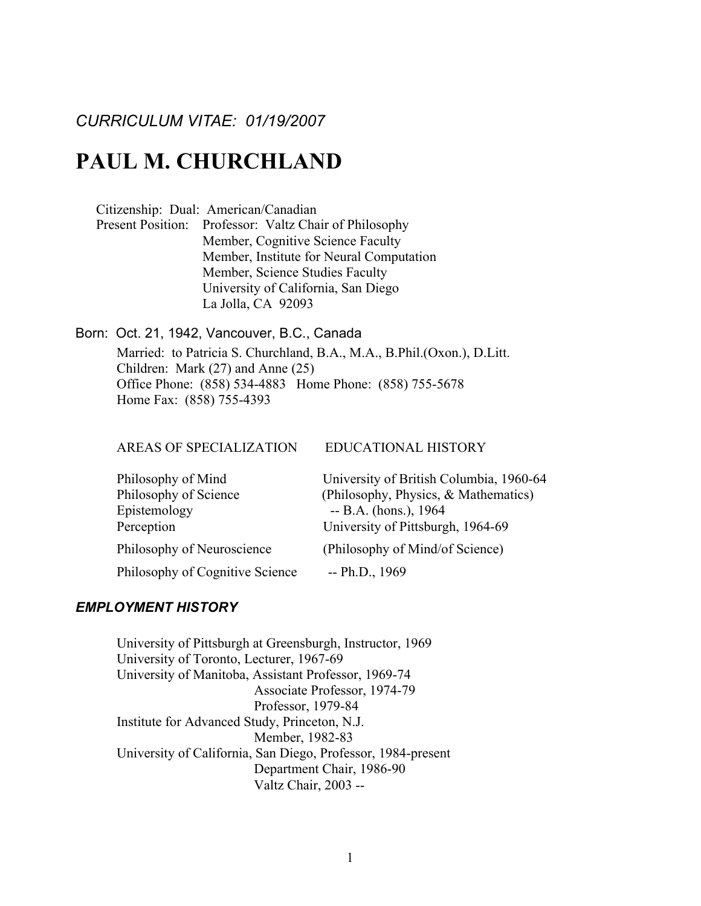*CURRICULUM VITAE: 01/19/2007*

# PAUL M. CHURCHLAND

Citizenship: Dual: American/Canadian

Present Position: Professor: Valtz Chair of Philosophy Member, Cognitive Science Faculty Member, Institute for Neural Computation Member, Science Studies Faculty University of California, San Diego La Jolla, CA 92093

Born: Oct. 21, 1942, Vancouver, B.C., Canada Married: to Patricia S. Churchland, B.A., M.A., B.Phil.(Oxon.), D.Litt. Children: Mark (27) and Anne (25) Office Phone: (858) 534-4883 Home Phone: (858) 755-5678 Home Fax: (858) 755-4393

AREAS OF SPECIALIZATION EDUCATIONAL HISTORY

| Philosophy of Mind              | University of British Columbia, 1960-64 |
|---------------------------------|-----------------------------------------|
| Philosophy of Science           | (Philosophy, Physics, & Mathematics)    |
| Epistemology                    | $-$ B.A. (hons.), 1964                  |
| Perception                      | University of Pittsburgh, 1964-69       |
| Philosophy of Neuroscience      | (Philosophy of Mind/of Science)         |
| Philosophy of Cognitive Science | $-$ Ph.D., 1969                         |

# *EMPLOYMENT HISTORY*

University of Pittsburgh at Greensburgh, Instructor, 1969 University of Toronto, Lecturer, 1967-69 University of Manitoba, Assistant Professor, 1969-74 Associate Professor, 1974-79 Professor, 1979-84 Institute for Advanced Study, Princeton, N.J. Member, 1982-83 University of California, San Diego, Professor, 1984-present Department Chair, 1986-90 Valtz Chair, 2003 --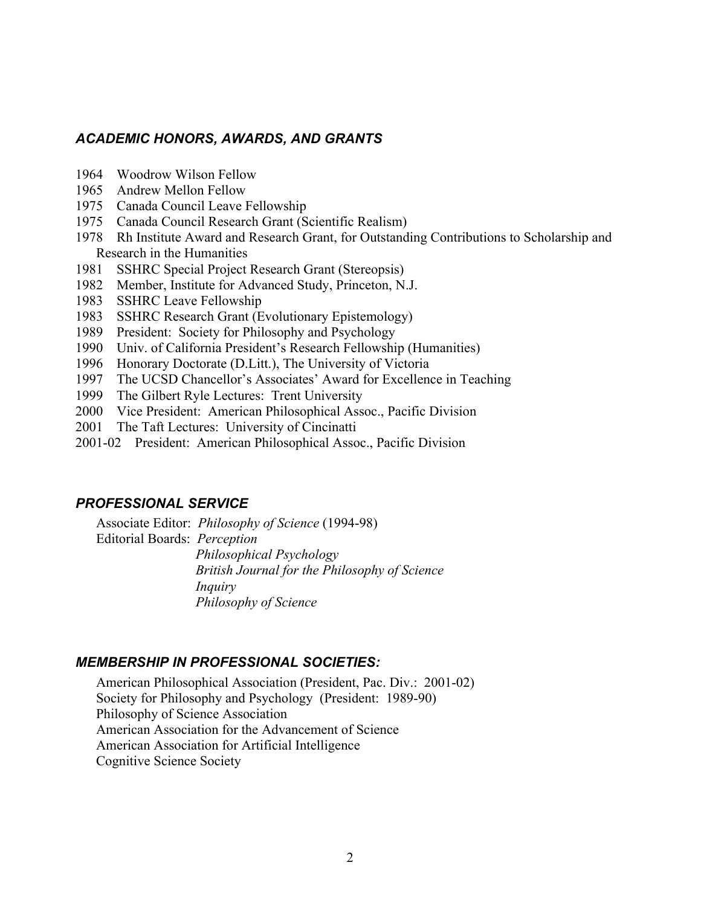# *ACADEMIC HONORS, AWARDS, AND GRANTS*

- 1964 Woodrow Wilson Fellow
- 1965 Andrew Mellon Fellow
- 1975 Canada Council Leave Fellowship
- 1975 Canada Council Research Grant (Scientific Realism)
- 1978 Rh Institute Award and Research Grant, for Outstanding Contributions to Scholarship and Research in the Humanities
- 1981 SSHRC Special Project Research Grant (Stereopsis)
- 1982 Member, Institute for Advanced Study, Princeton, N.J.
- 1983 SSHRC Leave Fellowship
- 1983 SSHRC Research Grant (Evolutionary Epistemology)
- 1989 President: Society for Philosophy and Psychology
- 1990 Univ. of California President's Research Fellowship (Humanities)
- 1996 Honorary Doctorate (D.Litt.), The University of Victoria
- 1997 The UCSD Chancellor's Associates' Award for Excellence in Teaching
- 1999 The Gilbert Ryle Lectures: Trent University
- 2000 Vice President: American Philosophical Assoc., Pacific Division
- 2001 The Taft Lectures: University of Cincinatti
- 2001-02 President: American Philosophical Assoc., Pacific Division

# *PROFESSIONAL SERVICE*

Associate Editor: *Philosophy of Science* (1994-98) Editorial Boards: *Perception Philosophical Psychology British Journal for the Philosophy of Science Inquiry Philosophy of Science*

## *MEMBERSHIP IN PROFESSIONAL SOCIETIES:*

American Philosophical Association (President, Pac. Div.: 2001-02) Society for Philosophy and Psychology (President: 1989-90) Philosophy of Science Association American Association for the Advancement of Science American Association for Artificial Intelligence Cognitive Science Society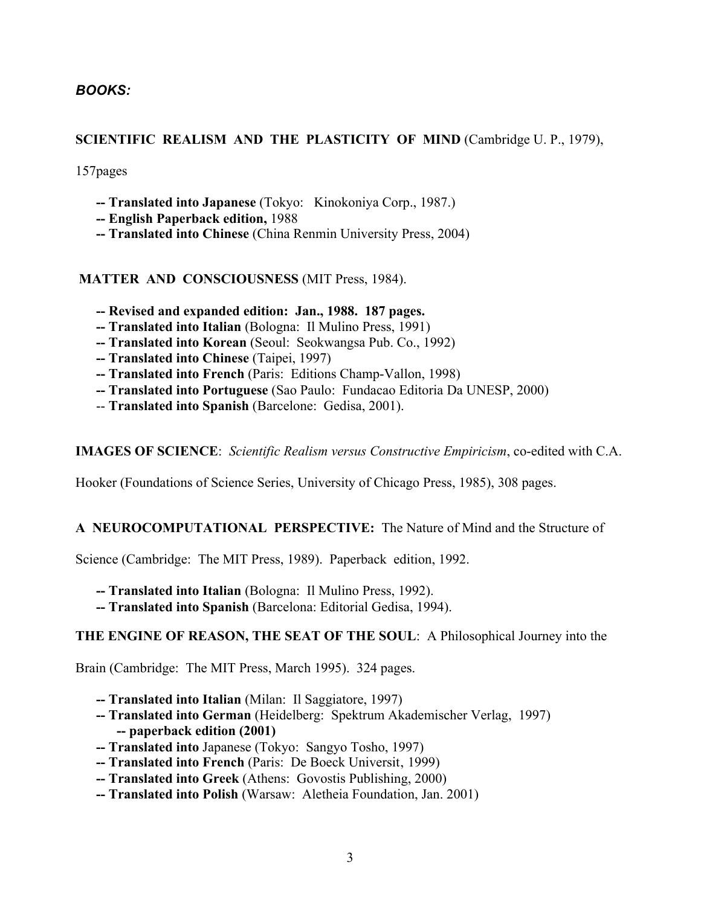# *BOOKS:*

# SCIENTIFIC REALISM AND THE PLASTICITY OF MIND (Cambridge U.P., 1979),

157pages

- -- Translated into Japanese (Tokyo: Kinokoniya Corp., 1987.)
- -- English Paperback edition, 1988
- -- Translated into Chinese (China Renmin University Press, 2004)

MATTER AND CONSCIOUSNESS (MIT Press, 1984).

- -- Revised and expanded edition: Jan., 1988. 187 pages.
- -- Translated into Italian (Bologna: Il Mulino Press, 1991)
- -- Translated into Korean (Seoul: Seokwangsa Pub. Co., 1992)
- -- Translated into Chinese (Taipei, 1997)
- -- Translated into French (Paris: Editions Champ-Vallon, 1998)
- -- Translated into Portuguese (Sao Paulo: Fundacao Editoria Da UNESP, 2000)
- -- Translated into Spanish (Barcelone: Gedisa, 2001).

IMAGES OF SCIENCE: *Scientific Realism versus Constructive Empiricism*, co-edited with C.A.

Hooker (Foundations of Science Series, University of Chicago Press, 1985), 308 pages.

# A NEUROCOMPUTATIONAL PERSPECTIVE: The Nature of Mind and the Structure of

Science (Cambridge: The MIT Press, 1989). Paperback edition, 1992.

- -- Translated into Italian (Bologna: Il Mulino Press, 1992).
- -- Translated into Spanish (Barcelona: Editorial Gedisa, 1994).

# THE ENGINE OF REASON, THE SEAT OF THE SOUL: A Philosophical Journey into the

Brain (Cambridge: The MIT Press, March 1995). 324 pages.

- -- Translated into Italian (Milan: Il Saggiatore, 1997)
- -- Translated into German (Heidelberg: Spektrum Akademischer Verlag, 1997) -- paperback edition (2001)
- -- Translated into Japanese (Tokyo: Sangyo Tosho, 1997)
- -- Translated into French (Paris: De Boeck Universit, 1999)
- -- Translated into Greek (Athens: Govostis Publishing, 2000)
- -- Translated into Polish (Warsaw: Aletheia Foundation, Jan. 2001)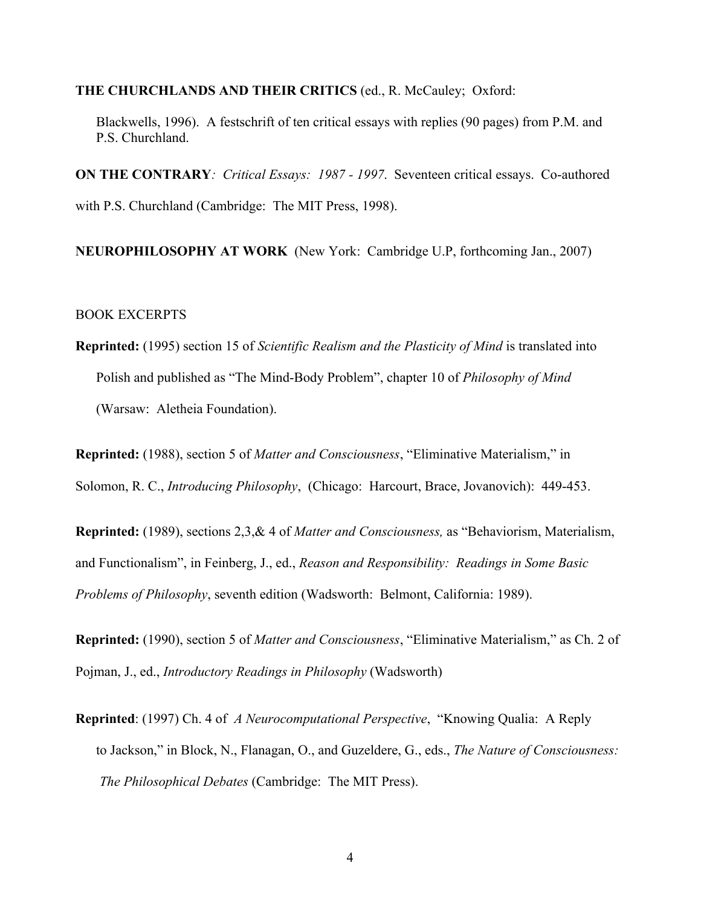#### THE CHURCHLANDS AND THEIR CRITICS (ed., R. McCauley; Oxford:

Blackwells, 1996). A festschrift of ten critical essays with replies (90 pages) from P.M. and P.S. Churchland.

ON THE CONTRARY*: Critical Essays: 1987 - 1997*. Seventeen critical essays. Co-authored with P.S. Churchland (Cambridge: The MIT Press, 1998).

NEUROPHILOSOPHY AT WORK (New York: Cambridge U.P, forthcoming Jan., 2007)

# BOOK EXCERPTS

Reprinted: (1995) section 15 of *Scientific Realism and the Plasticity of Mind* is translated into Polish and published as "The Mind-Body Problem", chapter 10 of *Philosophy of Mind* (Warsaw: Aletheia Foundation).

Reprinted: (1988), section 5 of *Matter and Consciousness*, "Eliminative Materialism," in Solomon, R. C., *Introducing Philosophy*, (Chicago: Harcourt, Brace, Jovanovich): 449-453.

Reprinted: (1989), sections 2,3,& 4 of *Matter and Consciousness,* as "Behaviorism, Materialism, and Functionalism", in Feinberg, J., ed., *Reason and Responsibility: Readings in Some Basic Problems of Philosophy*, seventh edition (Wadsworth: Belmont, California: 1989).

Reprinted: (1990), section 5 of *Matter and Consciousness*, "Eliminative Materialism," as Ch. 2 of Pojman, J., ed., *Introductory Readings in Philosophy* (Wadsworth)

Reprinted: (1997) Ch. 4 of *A Neurocomputational Perspective*, "Knowing Qualia: A Reply to Jackson," in Block, N., Flanagan, O., and Guzeldere, G., eds., *The Nature of Consciousness: The Philosophical Debates* (Cambridge: The MIT Press).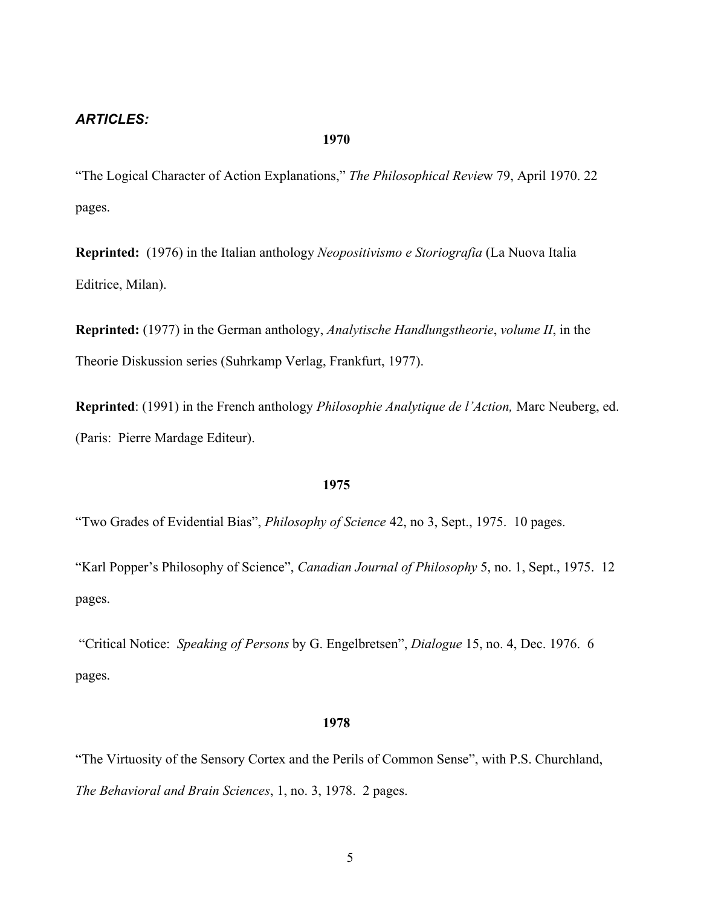# *ARTICLES:*

#### 1970

"The Logical Character of Action Explanations," *The Philosophical Revie*w 79, April 1970. 22 pages.

Reprinted: (1976) in the Italian anthology *Neopositivismo e Storiografia* (La Nuova Italia Editrice, Milan).

Reprinted: (1977) in the German anthology, *Analytische Handlungstheorie*, *volume II*, in the Theorie Diskussion series (Suhrkamp Verlag, Frankfurt, 1977).

Reprinted: (1991) in the French anthology *Philosophie Analytique de l'Action,* Marc Neuberg, ed. (Paris: Pierre Mardage Editeur).

## 1975

"Two Grades of Evidential Bias", *Philosophy of Science* 42, no 3, Sept., 1975. 10 pages.

"Karl Popper's Philosophy of Science", *Canadian Journal of Philosophy* 5, no. 1, Sept., 1975. 12 pages.

 "Critical Notice: *Speaking of Persons* by G. Engelbretsen", *Dialogue* 15, no. 4, Dec. 1976. 6 pages.

#### 1978

"The Virtuosity of the Sensory Cortex and the Perils of Common Sense", with P.S. Churchland, *The Behavioral and Brain Sciences*, 1, no. 3, 1978. 2 pages.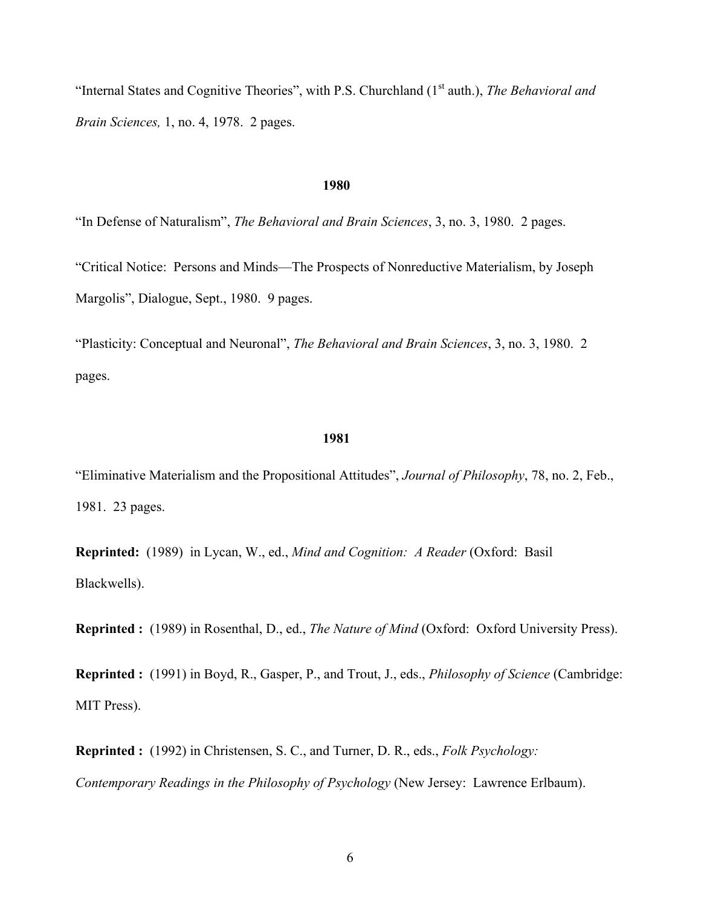"Internal States and Cognitive Theories", with P.S. Churchland (1<sup>st</sup> auth.), *The Behavioral and Brain Sciences,* 1, no. 4, 1978. 2 pages.

#### 1980

"In Defense of Naturalism", *The Behavioral and Brain Sciences*, 3, no. 3, 1980. 2 pages.

"Critical Notice: Persons and Minds—The Prospects of Nonreductive Materialism, by Joseph Margolis", Dialogue, Sept., 1980. 9 pages.

"Plasticity: Conceptual and Neuronal", *The Behavioral and Brain Sciences*, 3, no. 3, 1980. 2 pages.

#### 1981

"Eliminative Materialism and the Propositional Attitudes", *Journal of Philosophy*, 78, no. 2, Feb., 1981. 23 pages.

Reprinted: (1989) in Lycan, W., ed., *Mind and Cognition: A Reader* (Oxford: Basil Blackwells).

Reprinted : (1989) in Rosenthal, D., ed., *The Nature of Mind* (Oxford: Oxford University Press).

Reprinted : (1991) in Boyd, R., Gasper, P., and Trout, J., eds., *Philosophy of Science* (Cambridge: MIT Press).

Reprinted : (1992) in Christensen, S. C., and Turner, D. R., eds., *Folk Psychology: Contemporary Readings in the Philosophy of Psychology* (New Jersey: Lawrence Erlbaum).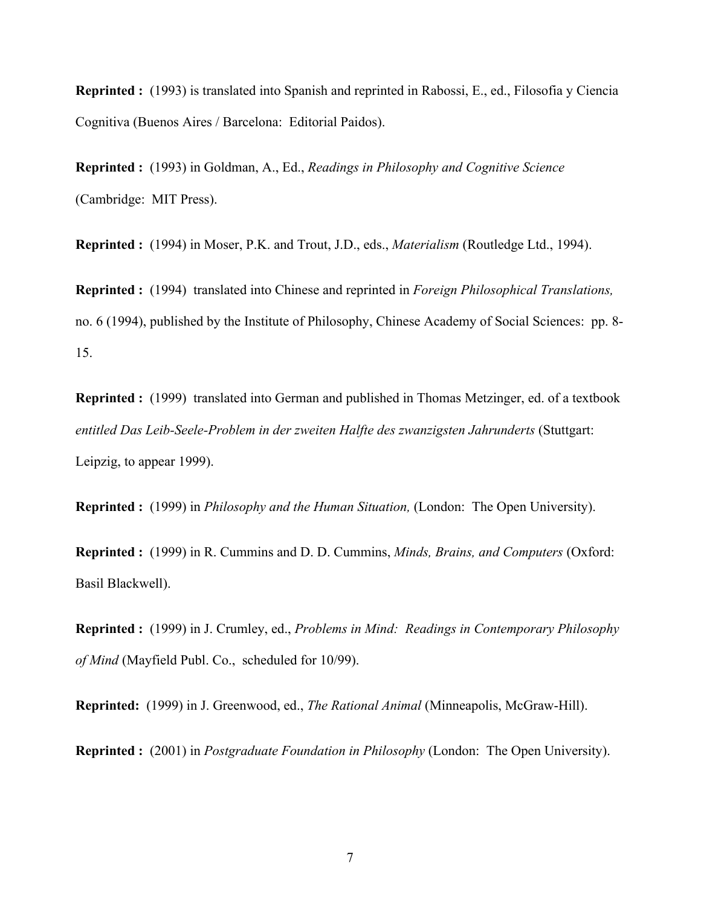Reprinted : (1993) is translated into Spanish and reprinted in Rabossi, E., ed., Filosofia y Ciencia Cognitiva (Buenos Aires / Barcelona: Editorial Paidos).

Reprinted : (1993) in Goldman, A., Ed., *Readings in Philosophy and Cognitive Science* (Cambridge: MIT Press).

Reprinted : (1994) in Moser, P.K. and Trout, J.D., eds., *Materialism* (Routledge Ltd., 1994).

Reprinted : (1994) translated into Chinese and reprinted in *Foreign Philosophical Translations,* no. 6 (1994), published by the Institute of Philosophy, Chinese Academy of Social Sciences: pp. 8- 15.

Reprinted : (1999) translated into German and published in Thomas Metzinger, ed. of a textbook *entitled Das Leib-Seele-Problem in der zweiten Halfte des zwanzigsten Jahrunderts* (Stuttgart: Leipzig, to appear 1999).

Reprinted : (1999) in *Philosophy and the Human Situation,* (London: The Open University).

Reprinted : (1999) in R. Cummins and D. D. Cummins, *Minds, Brains, and Computers* (Oxford: Basil Blackwell).

Reprinted : (1999) in J. Crumley, ed., *Problems in Mind: Readings in Contemporary Philosophy of Mind* (Mayfield Publ. Co., scheduled for 10/99).

Reprinted: (1999) in J. Greenwood, ed., *The Rational Animal* (Minneapolis, McGraw-Hill).

Reprinted : (2001) in *Postgraduate Foundation in Philosophy* (London: The Open University).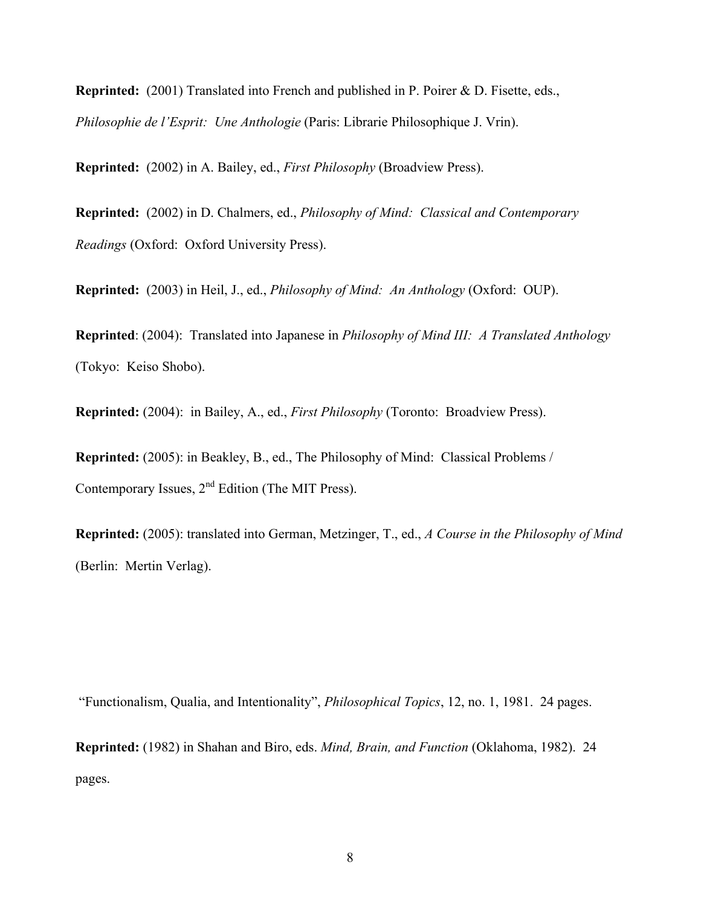Reprinted: (2001) Translated into French and published in P. Poirer & D. Fisette, eds., *Philosophie de l'Esprit: Une Anthologie* (Paris: Librarie Philosophique J. Vrin).

Reprinted: (2002) in A. Bailey, ed., *First Philosophy* (Broadview Press).

Reprinted: (2002) in D. Chalmers, ed., *Philosophy of Mind: Classical and Contemporary Readings* (Oxford: Oxford University Press).

Reprinted: (2003) in Heil, J., ed., *Philosophy of Mind: An Anthology* (Oxford: OUP).

Reprinted: (2004): Translated into Japanese in *Philosophy of Mind III: A Translated Anthology* (Tokyo: Keiso Shobo).

Reprinted: (2004): in Bailey, A., ed., *First Philosophy* (Toronto: Broadview Press).

Reprinted: (2005): in Beakley, B., ed., The Philosophy of Mind: Classical Problems / Contemporary Issues,  $2<sup>nd</sup>$  Edition (The MIT Press).

Reprinted: (2005): translated into German, Metzinger, T., ed., *A Course in the Philosophy of Mind* (Berlin: Mertin Verlag).

"Functionalism, Qualia, and Intentionality", *Philosophical Topics*, 12, no. 1, 1981. 24 pages.

Reprinted: (1982) in Shahan and Biro, eds. *Mind, Brain, and Function* (Oklahoma, 1982). 24 pages.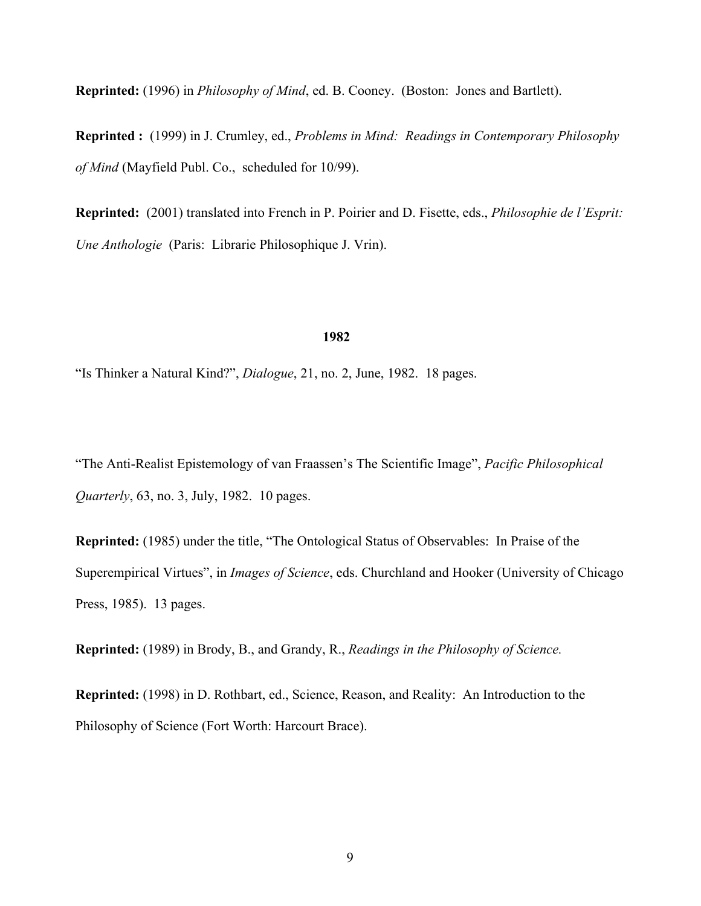Reprinted: (1996) in *Philosophy of Mind*, ed. B. Cooney. (Boston: Jones and Bartlett).

Reprinted : (1999) in J. Crumley, ed., *Problems in Mind: Readings in Contemporary Philosophy of Mind* (Mayfield Publ. Co., scheduled for 10/99).

Reprinted: (2001) translated into French in P. Poirier and D. Fisette, eds., *Philosophie de l'Esprit: Une Anthologie* (Paris: Librarie Philosophique J. Vrin).

## 1982

"Is Thinker a Natural Kind?", *Dialogue*, 21, no. 2, June, 1982. 18 pages.

"The Anti-Realist Epistemology of van Fraassen's The Scientific Image", *Pacific Philosophical Quarterly*, 63, no. 3, July, 1982. 10 pages.

Reprinted: (1985) under the title, "The Ontological Status of Observables: In Praise of the Superempirical Virtues", in *Images of Science*, eds. Churchland and Hooker (University of Chicago Press, 1985). 13 pages.

Reprinted: (1989) in Brody, B., and Grandy, R., *Readings in the Philosophy of Science.*

Reprinted: (1998) in D. Rothbart, ed., Science, Reason, and Reality: An Introduction to the Philosophy of Science (Fort Worth: Harcourt Brace).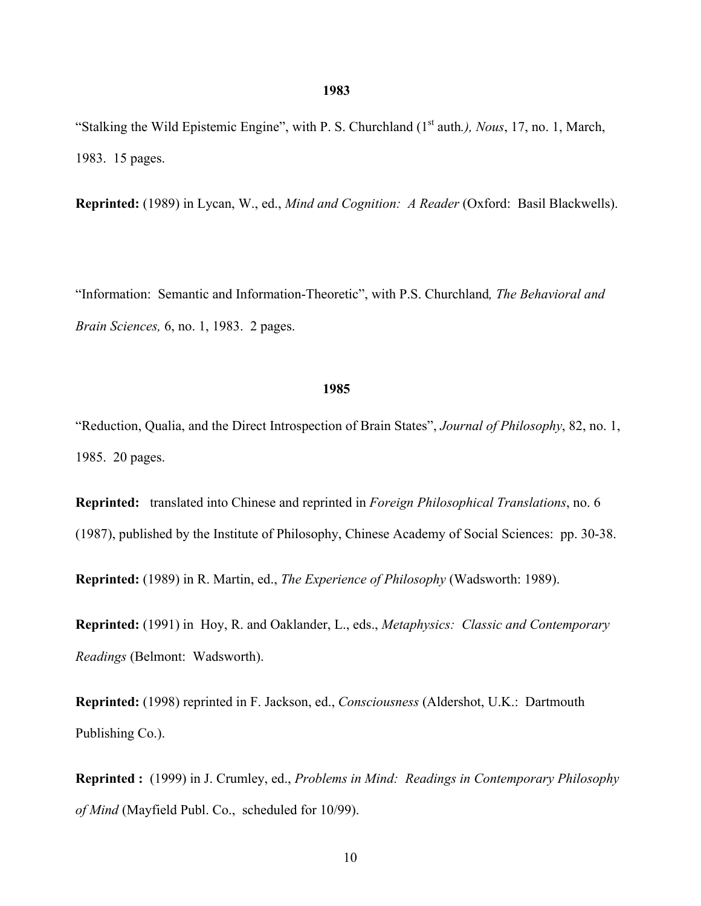"Stalking the Wild Epistemic Engine", with P. S. Churchland (1st auth*.), Nous*, 17, no. 1, March, 1983. 15 pages.

Reprinted: (1989) in Lycan, W., ed., *Mind and Cognition: A Reader* (Oxford: Basil Blackwells).

"Information: Semantic and Information-Theoretic", with P.S. Churchland*, The Behavioral and Brain Sciences,* 6, no. 1, 1983. 2 pages.

#### 1985

"Reduction, Qualia, and the Direct Introspection of Brain States", *Journal of Philosophy*, 82, no. 1, 1985. 20 pages.

Reprinted: translated into Chinese and reprinted in *Foreign Philosophical Translations*, no. 6 (1987), published by the Institute of Philosophy, Chinese Academy of Social Sciences: pp. 30-38.

Reprinted: (1989) in R. Martin, ed., *The Experience of Philosophy* (Wadsworth: 1989).

Reprinted: (1991) in Hoy, R. and Oaklander, L., eds., *Metaphysics: Classic and Contemporary Readings* (Belmont: Wadsworth).

Reprinted: (1998) reprinted in F. Jackson, ed., *Consciousness* (Aldershot, U.K.: Dartmouth Publishing Co.).

Reprinted : (1999) in J. Crumley, ed., *Problems in Mind: Readings in Contemporary Philosophy of Mind* (Mayfield Publ. Co., scheduled for 10/99).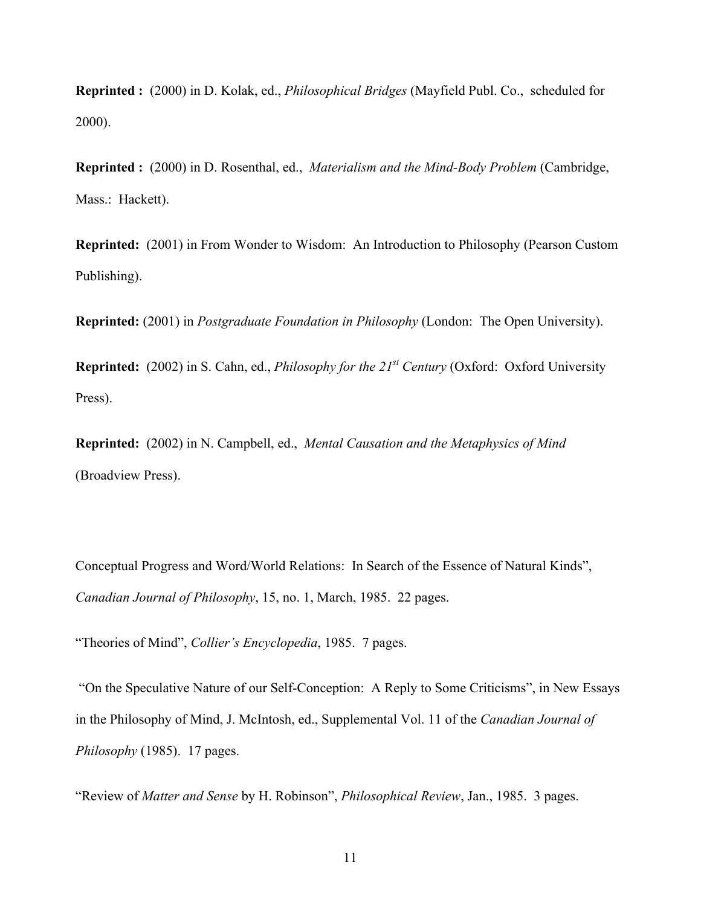Reprinted : (2000) in D. Kolak, ed., *Philosophical Bridges* (Mayfield Publ. Co., scheduled for 2000).

Reprinted : (2000) in D. Rosenthal, ed., *Materialism and the Mind-Body Problem* (Cambridge, Mass.: Hackett).

Reprinted: (2001) in From Wonder to Wisdom: An Introduction to Philosophy (Pearson Custom Publishing).

Reprinted: (2001) in *Postgraduate Foundation in Philosophy* (London: The Open University).

Reprinted: (2002) in S. Cahn, ed., *Philosophy for the 21st Century* (Oxford: Oxford University Press).

Reprinted: (2002) in N. Campbell, ed., *Mental Causation and the Metaphysics of Mind* (Broadview Press).

Conceptual Progress and Word/World Relations: In Search of the Essence of Natural Kinds", *Canadian Journal of Philosophy*, 15, no. 1, March, 1985. 22 pages.

"Theories of Mind", *Collier's Encyclopedia*, 1985. 7 pages.

 "On the Speculative Nature of our Self-Conception: A Reply to Some Criticisms", in New Essays in the Philosophy of Mind, J. McIntosh, ed., Supplemental Vol. 11 of the *Canadian Journal of Philosophy* (1985). 17 pages.

"Review of *Matter and Sense* by H. Robinson", *Philosophical Review*, Jan., 1985. 3 pages.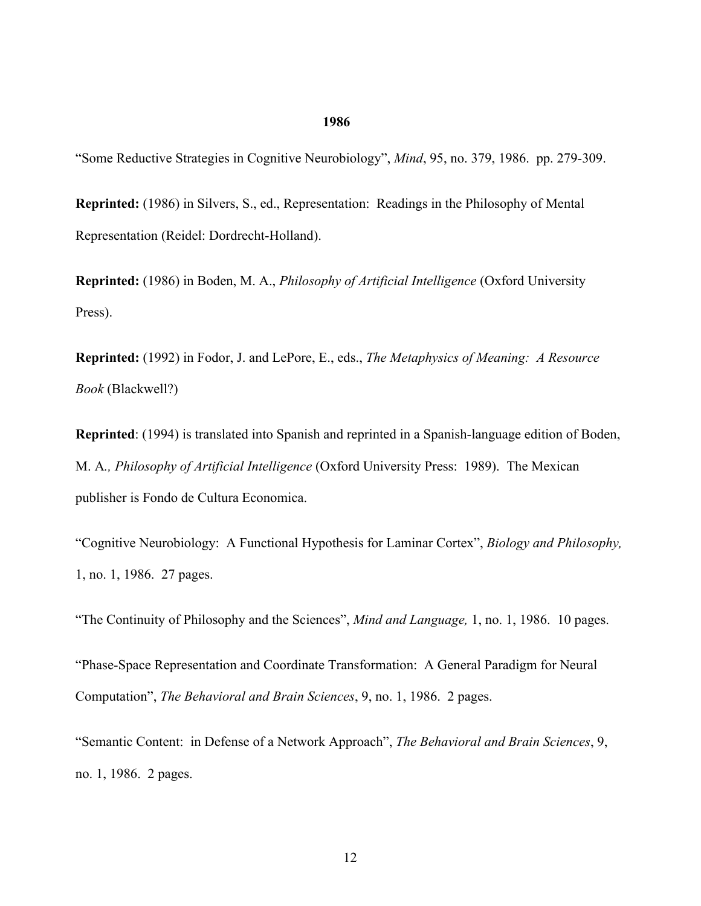## 1986

"Some Reductive Strategies in Cognitive Neurobiology", *Mind*, 95, no. 379, 1986. pp. 279-309.

Reprinted: (1986) in Silvers, S., ed., Representation: Readings in the Philosophy of Mental Representation (Reidel: Dordrecht-Holland).

Reprinted: (1986) in Boden, M. A., *Philosophy of Artificial Intelligence* (Oxford University Press).

Reprinted: (1992) in Fodor, J. and LePore, E., eds., *The Metaphysics of Meaning: A Resource Book* (Blackwell?)

Reprinted: (1994) is translated into Spanish and reprinted in a Spanish-language edition of Boden, M. A*., Philosophy of Artificial Intelligence* (Oxford University Press: 1989). The Mexican publisher is Fondo de Cultura Economica.

"Cognitive Neurobiology: A Functional Hypothesis for Laminar Cortex", *Biology and Philosophy,* 1, no. 1, 1986. 27 pages.

"The Continuity of Philosophy and the Sciences", *Mind and Language,* 1, no. 1, 1986. 10 pages.

"Phase-Space Representation and Coordinate Transformation: A General Paradigm for Neural Computation", *The Behavioral and Brain Sciences*, 9, no. 1, 1986. 2 pages.

"Semantic Content: in Defense of a Network Approach", *The Behavioral and Brain Sciences*, 9, no. 1, 1986. 2 pages.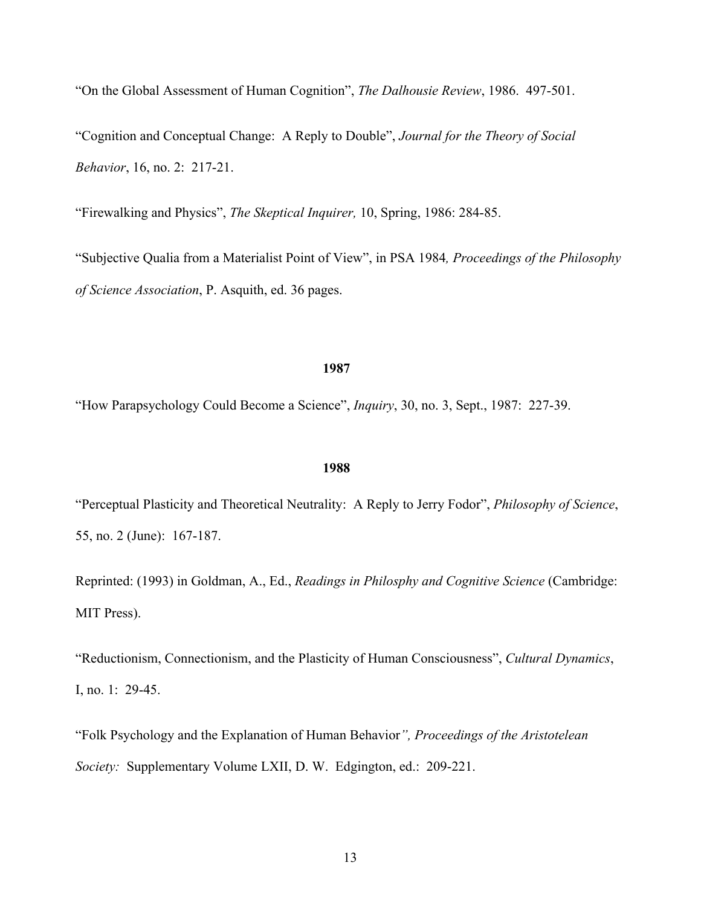"On the Global Assessment of Human Cognition", *The Dalhousie Review*, 1986. 497-501.

"Cognition and Conceptual Change: A Reply to Double", *Journal for the Theory of Social Behavior*, 16, no. 2: 217-21.

"Firewalking and Physics", *The Skeptical Inquirer,* 10, Spring, 1986: 284-85.

"Subjective Qualia from a Materialist Point of View", in PSA 1984*, Proceedings of the Philosophy of Science Association*, P. Asquith, ed. 36 pages.

#### 1987

"How Parapsychology Could Become a Science", *Inquiry*, 30, no. 3, Sept., 1987: 227-39.

#### 1988

"Perceptual Plasticity and Theoretical Neutrality: A Reply to Jerry Fodor", *Philosophy of Science*, 55, no. 2 (June): 167-187.

Reprinted: (1993) in Goldman, A., Ed., *Readings in Philosphy and Cognitive Science* (Cambridge: MIT Press).

"Reductionism, Connectionism, and the Plasticity of Human Consciousness", *Cultural Dynamics*, I, no. 1: 29-45.

"Folk Psychology and the Explanation of Human Behavior*", Proceedings of the Aristotelean Society:* Supplementary Volume LXII, D. W. Edgington, ed.: 209-221.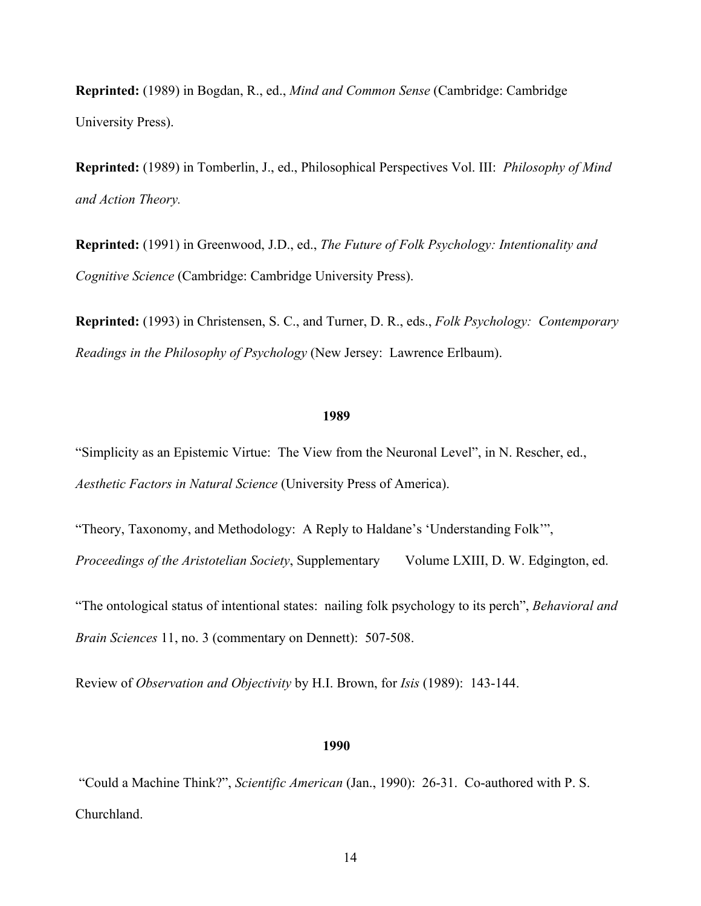Reprinted: (1989) in Bogdan, R., ed., *Mind and Common Sense* (Cambridge: Cambridge University Press).

Reprinted: (1989) in Tomberlin, J., ed., Philosophical Perspectives Vol. III: *Philosophy of Mind and Action Theory.*

Reprinted: (1991) in Greenwood, J.D., ed., *The Future of Folk Psychology: Intentionality and Cognitive Science* (Cambridge: Cambridge University Press).

Reprinted: (1993) in Christensen, S. C., and Turner, D. R., eds., *Folk Psychology: Contemporary Readings in the Philosophy of Psychology* (New Jersey: Lawrence Erlbaum).

## 1989

"Simplicity as an Epistemic Virtue: The View from the Neuronal Level", in N. Rescher, ed., *Aesthetic Factors in Natural Science* (University Press of America).

"Theory, Taxonomy, and Methodology: A Reply to Haldane's 'Understanding Folk'", *Proceedings of the Aristotelian Society*, Supplementary Volume LXIII, D. W. Edgington, ed.

"The ontological status of intentional states: nailing folk psychology to its perch", *Behavioral and Brain Sciences* 11, no. 3 (commentary on Dennett): 507-508.

Review of *Observation and Objectivity* by H.I. Brown, for *Isis* (1989): 143-144.

## 1990

 "Could a Machine Think?", *Scientific American* (Jan., 1990): 26-31. Co-authored with P. S. Churchland.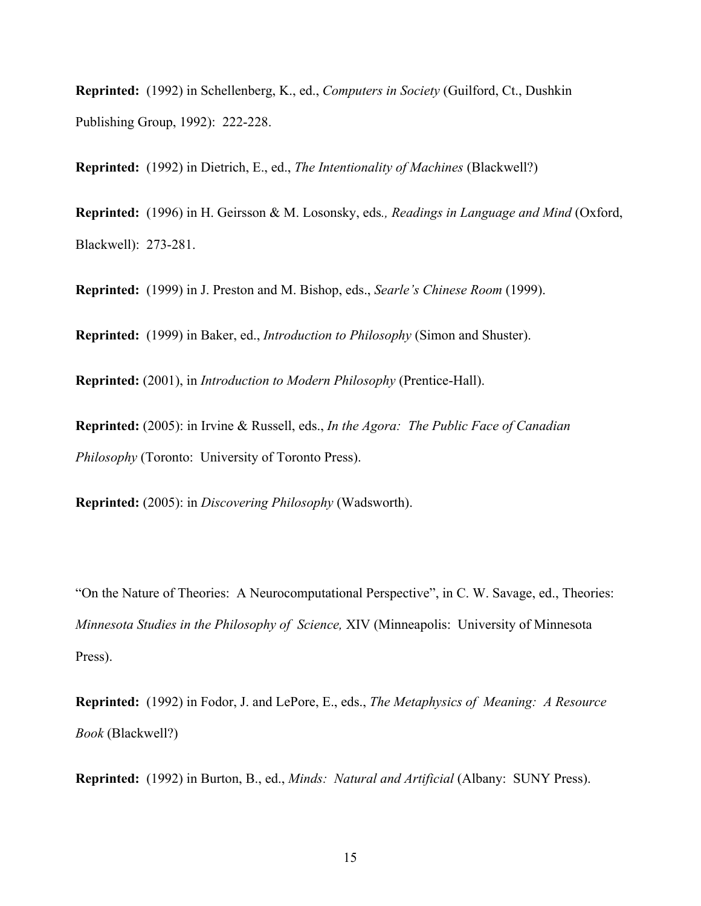Reprinted: (1992) in Schellenberg, K., ed., *Computers in Society* (Guilford, Ct., Dushkin Publishing Group, 1992): 222-228.

Reprinted: (1992) in Dietrich, E., ed., *The Intentionality of Machines* (Blackwell?)

Reprinted: (1996) in H. Geirsson & M. Losonsky, eds*., Readings in Language and Mind* (Oxford, Blackwell): 273-281.

Reprinted: (1999) in J. Preston and M. Bishop, eds., *Searle's Chinese Room* (1999).

Reprinted: (1999) in Baker, ed., *Introduction to Philosophy* (Simon and Shuster).

Reprinted: (2001), in *Introduction to Modern Philosophy* (Prentice-Hall).

Reprinted: (2005): in Irvine & Russell, eds., *In the Agora: The Public Face of Canadian Philosophy* (Toronto: University of Toronto Press).

Reprinted: (2005): in *Discovering Philosophy* (Wadsworth).

"On the Nature of Theories: A Neurocomputational Perspective", in C. W. Savage, ed., Theories: *Minnesota Studies in the Philosophy of Science,* XIV (Minneapolis: University of Minnesota Press).

Reprinted: (1992) in Fodor, J. and LePore, E., eds., *The Metaphysics of Meaning: A Resource Book* (Blackwell?)

Reprinted: (1992) in Burton, B., ed., *Minds: Natural and Artificial* (Albany: SUNY Press).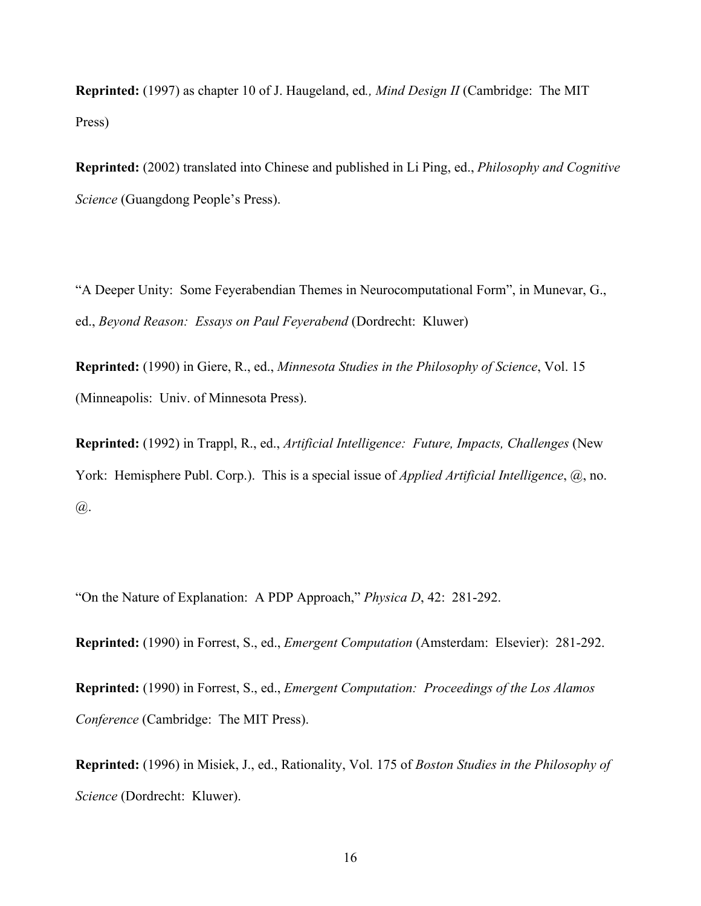Reprinted: (1997) as chapter 10 of J. Haugeland, ed*., Mind Design II* (Cambridge: The MIT Press)

Reprinted: (2002) translated into Chinese and published in Li Ping, ed., *Philosophy and Cognitive Science* (Guangdong People's Press).

"A Deeper Unity: Some Feyerabendian Themes in Neurocomputational Form", in Munevar, G., ed., *Beyond Reason: Essays on Paul Feyerabend* (Dordrecht: Kluwer)

Reprinted: (1990) in Giere, R., ed., *Minnesota Studies in the Philosophy of Science*, Vol. 15 (Minneapolis: Univ. of Minnesota Press).

Reprinted: (1992) in Trappl, R., ed., *Artificial Intelligence: Future, Impacts, Challenges* (New York: Hemisphere Publ. Corp.). This is a special issue of *Applied Artificial Intelligence*, @, no. @.

"On the Nature of Explanation: A PDP Approach," *Physica D*, 42: 281-292.

Reprinted: (1990) in Forrest, S., ed., *Emergent Computation* (Amsterdam: Elsevier): 281-292.

Reprinted: (1990) in Forrest, S., ed., *Emergent Computation: Proceedings of the Los Alamos Conference* (Cambridge: The MIT Press).

Reprinted: (1996) in Misiek, J., ed., Rationality, Vol. 175 of *Boston Studies in the Philosophy of Science* (Dordrecht: Kluwer).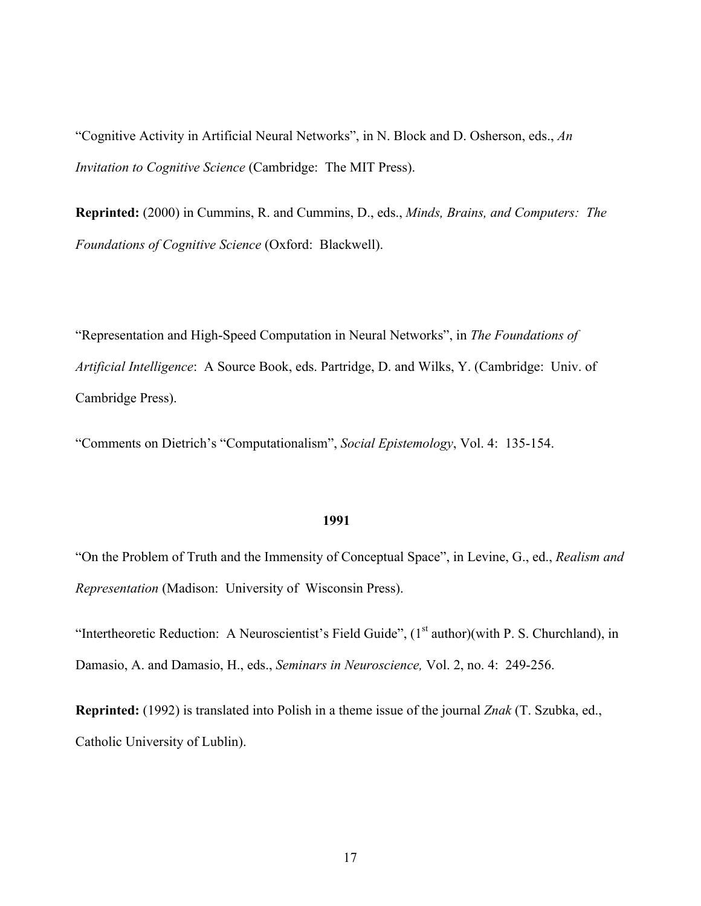"Cognitive Activity in Artificial Neural Networks", in N. Block and D. Osherson, eds., *An Invitation to Cognitive Science* (Cambridge: The MIT Press).

Reprinted: (2000) in Cummins, R. and Cummins, D., eds., *Minds, Brains, and Computers: The Foundations of Cognitive Science* (Oxford: Blackwell).

"Representation and High-Speed Computation in Neural Networks", in *The Foundations of Artificial Intelligence*: A Source Book, eds. Partridge, D. and Wilks, Y. (Cambridge: Univ. of Cambridge Press).

"Comments on Dietrich's "Computationalism", *Social Epistemology*, Vol. 4: 135-154.

#### 1991

"On the Problem of Truth and the Immensity of Conceptual Space", in Levine, G., ed., *Realism and Representation* (Madison: University of Wisconsin Press).

"Intertheoretic Reduction: A Neuroscientist's Field Guide",  $(1<sup>st</sup> author)(with P. S. Churchill)$ , in Damasio, A. and Damasio, H., eds., *Seminars in Neuroscience,* Vol. 2, no. 4: 249-256.

Reprinted: (1992) is translated into Polish in a theme issue of the journal *Znak* (T. Szubka, ed., Catholic University of Lublin).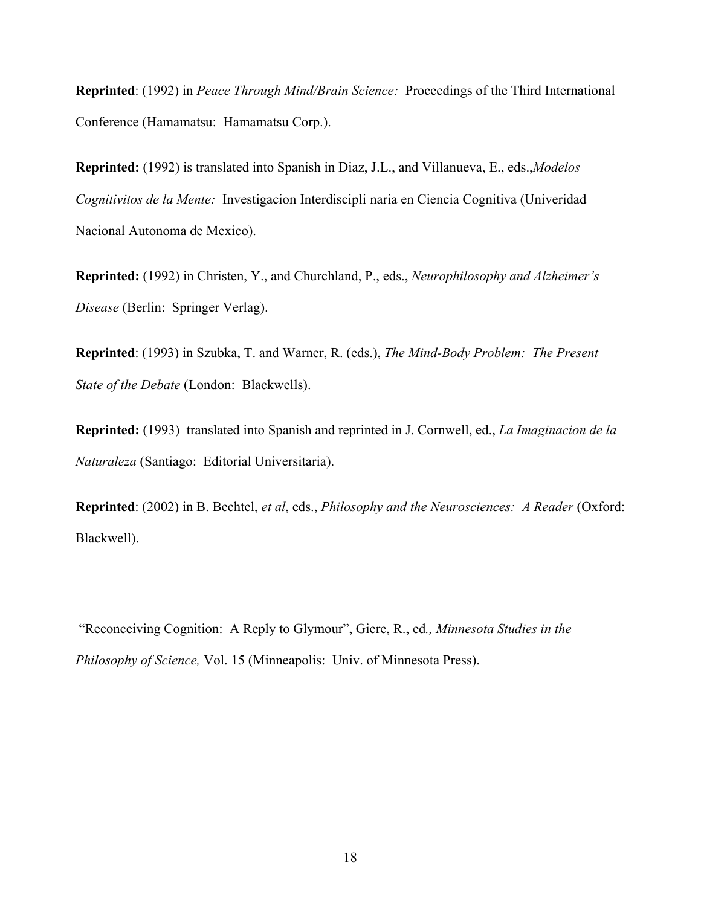Reprinted: (1992) in *Peace Through Mind/Brain Science:* Proceedings of the Third International Conference (Hamamatsu: Hamamatsu Corp.).

Reprinted: (1992) is translated into Spanish in Diaz, J.L., and Villanueva, E., eds.,*Modelos Cognitivitos de la Mente:* Investigacion Interdiscipli naria en Ciencia Cognitiva (Univeridad Nacional Autonoma de Mexico).

Reprinted: (1992) in Christen, Y., and Churchland, P., eds., *Neurophilosophy and Alzheimer's Disease* (Berlin: Springer Verlag).

Reprinted: (1993) in Szubka, T. and Warner, R. (eds.), *The Mind-Body Problem: The Present State of the Debate* (London: Blackwells).

Reprinted: (1993) translated into Spanish and reprinted in J. Cornwell, ed., *La Imaginacion de la Naturaleza* (Santiago: Editorial Universitaria).

Reprinted: (2002) in B. Bechtel, *et al*, eds., *Philosophy and the Neurosciences: A Reader* (Oxford: Blackwell).

 "Reconceiving Cognition: A Reply to Glymour", Giere, R., ed*., Minnesota Studies in the Philosophy of Science,* Vol. 15 (Minneapolis: Univ. of Minnesota Press).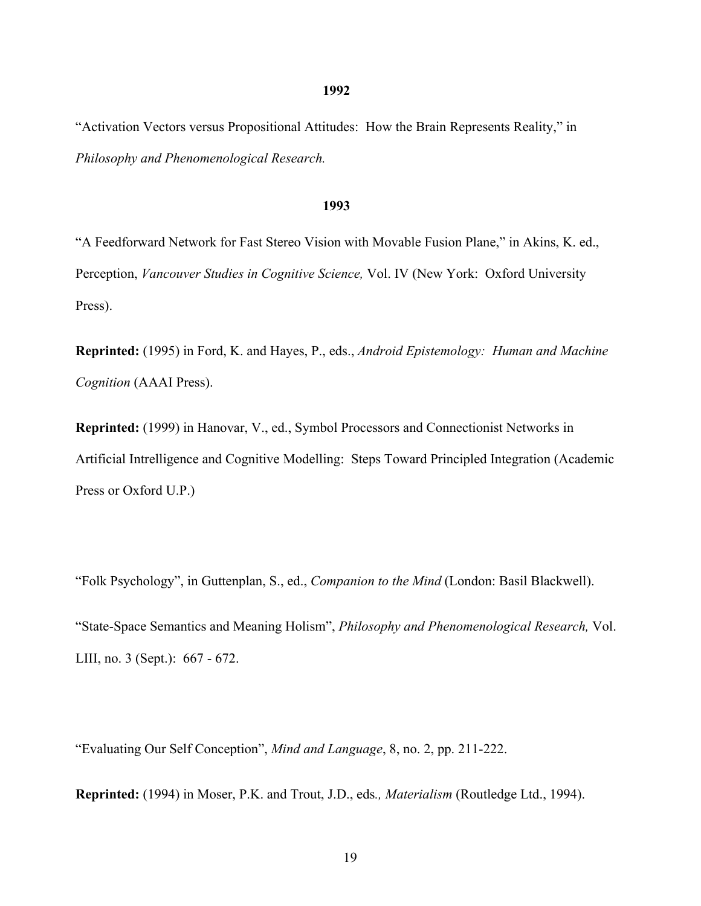#### 1992

"Activation Vectors versus Propositional Attitudes: How the Brain Represents Reality," in *Philosophy and Phenomenological Research.*

#### 1993

"A Feedforward Network for Fast Stereo Vision with Movable Fusion Plane," in Akins, K. ed., Perception, *Vancouver Studies in Cognitive Science,* Vol. IV (New York: Oxford University Press).

Reprinted: (1995) in Ford, K. and Hayes, P., eds., *Android Epistemology: Human and Machine Cognition* (AAAI Press).

Reprinted: (1999) in Hanovar, V., ed., Symbol Processors and Connectionist Networks in Artificial Intrelligence and Cognitive Modelling: Steps Toward Principled Integration (Academic Press or Oxford U.P.)

"Folk Psychology", in Guttenplan, S., ed., *Companion to the Mind* (London: Basil Blackwell).

"State-Space Semantics and Meaning Holism", *Philosophy and Phenomenological Research,* Vol. LIII, no. 3 (Sept.): 667 - 672.

"Evaluating Our Self Conception", *Mind and Language*, 8, no. 2, pp. 211-222.

Reprinted: (1994) in Moser, P.K. and Trout, J.D., eds*., Materialism* (Routledge Ltd., 1994).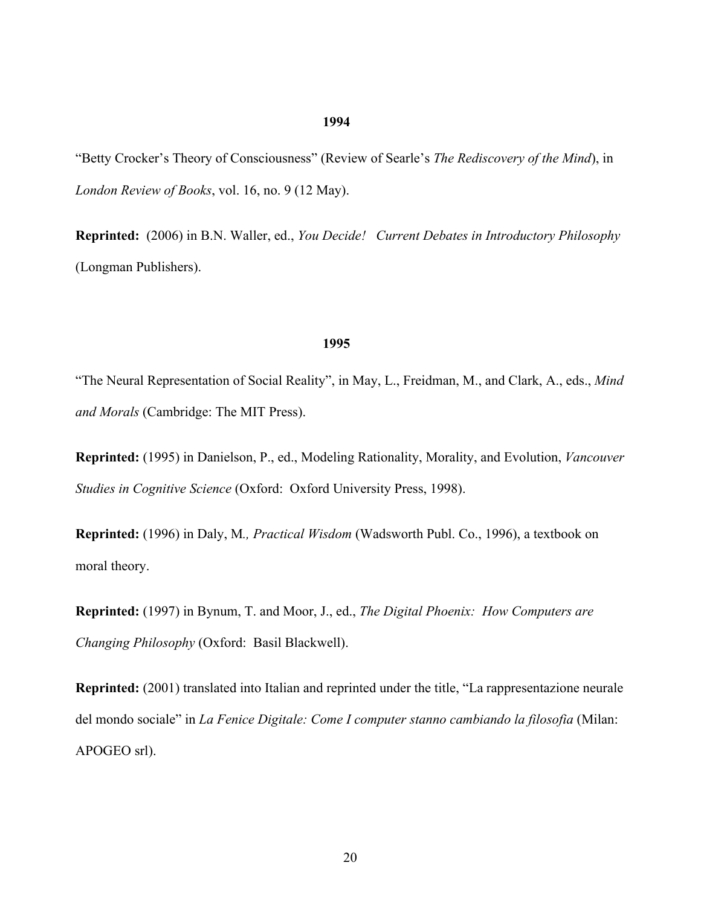## 1994

"Betty Crocker's Theory of Consciousness" (Review of Searle's *The Rediscovery of the Mind*), in *London Review of Books*, vol. 16, no. 9 (12 May).

Reprinted: (2006) in B.N. Waller, ed., *You Decide! Current Debates in Introductory Philosophy* (Longman Publishers).

### 1995

"The Neural Representation of Social Reality", in May, L., Freidman, M., and Clark, A., eds., *Mind and Morals* (Cambridge: The MIT Press).

Reprinted: (1995) in Danielson, P., ed., Modeling Rationality, Morality, and Evolution, *Vancouver Studies in Cognitive Science* (Oxford: Oxford University Press, 1998).

Reprinted: (1996) in Daly, M*., Practical Wisdom* (Wadsworth Publ. Co., 1996), a textbook on moral theory.

Reprinted: (1997) in Bynum, T. and Moor, J., ed., *The Digital Phoenix: How Computers are Changing Philosophy* (Oxford: Basil Blackwell).

Reprinted: (2001) translated into Italian and reprinted under the title, "La rappresentazione neurale del mondo sociale" in *La Fenice Digitale: Come I computer stanno cambiando la filosofia* (Milan: APOGEO srl).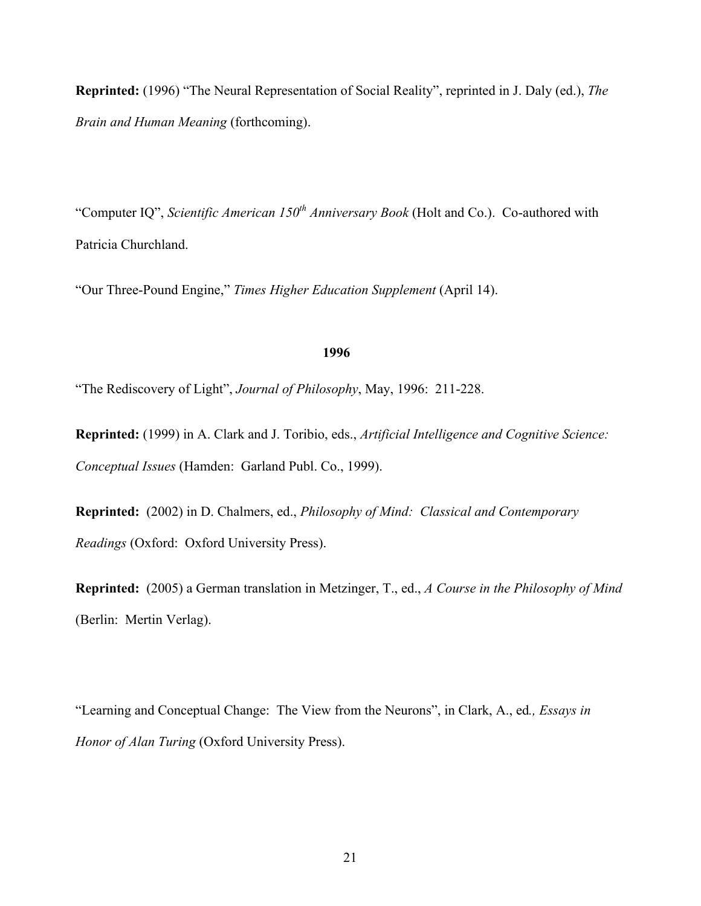Reprinted: (1996) "The Neural Representation of Social Reality", reprinted in J. Daly (ed.), *The Brain and Human Meaning* (forthcoming).

"Computer IO", *Scientific American 150<sup>th</sup> Anniversary Book* (Holt and Co.). Co-authored with Patricia Churchland.

"Our Three-Pound Engine," *Times Higher Education Supplement* (April 14).

## 1996

"The Rediscovery of Light", *Journal of Philosophy*, May, 1996: 211-228.

Reprinted: (1999) in A. Clark and J. Toribio, eds., *Artificial Intelligence and Cognitive Science: Conceptual Issues* (Hamden: Garland Publ. Co., 1999).

Reprinted: (2002) in D. Chalmers, ed., *Philosophy of Mind: Classical and Contemporary Readings* (Oxford: Oxford University Press).

Reprinted: (2005) a German translation in Metzinger, T., ed., *A Course in the Philosophy of Mind* (Berlin: Mertin Verlag).

"Learning and Conceptual Change: The View from the Neurons", in Clark, A., ed*., Essays in Honor of Alan Turing* (Oxford University Press).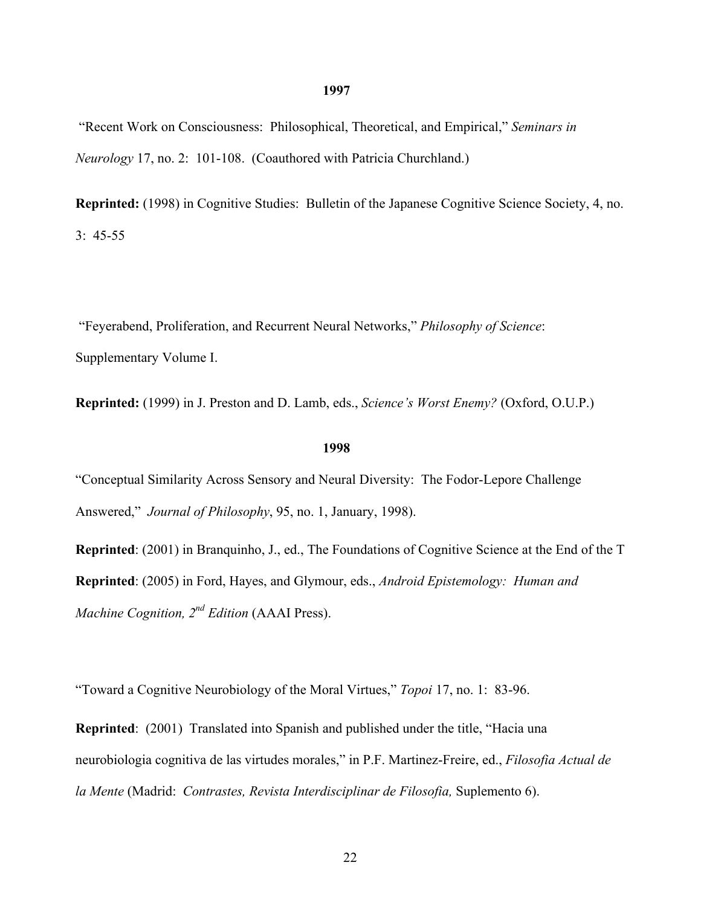# "Recent Work on Consciousness: Philosophical, Theoretical, and Empirical," *Seminars in Neurology* 17, no. 2: 101-108. (Coauthored with Patricia Churchland.)

1997

Reprinted: (1998) in Cognitive Studies: Bulletin of the Japanese Cognitive Science Society, 4, no. 3: 45-55

 "Feyerabend, Proliferation, and Recurrent Neural Networks," *Philosophy of Science*: Supplementary Volume I.

Reprinted: (1999) in J. Preston and D. Lamb, eds., *Science's Worst Enemy?* (Oxford, O.U.P.)

#### 1998

"Conceptual Similarity Across Sensory and Neural Diversity: The Fodor-Lepore Challenge Answered," *Journal of Philosophy*, 95, no. 1, January, 1998).

Reprinted: (2001) in Branquinho, J., ed., The Foundations of Cognitive Science at the End of the T Reprinted: (2005) in Ford, Hayes, and Glymour, eds., *Android Epistemology: Human and Machine Cognition, 2nd Edition* (AAAI Press).

"Toward a Cognitive Neurobiology of the Moral Virtues," *Topoi* 17, no. 1: 83-96.

Reprinted: (2001) Translated into Spanish and published under the title, "Hacia una neurobiologia cognitiva de las virtudes morales," in P.F. Martinez-Freire, ed., *Filosofia Actual de la Mente* (Madrid: *Contrastes, Revista Interdisciplinar de Filosofia,* Suplemento 6).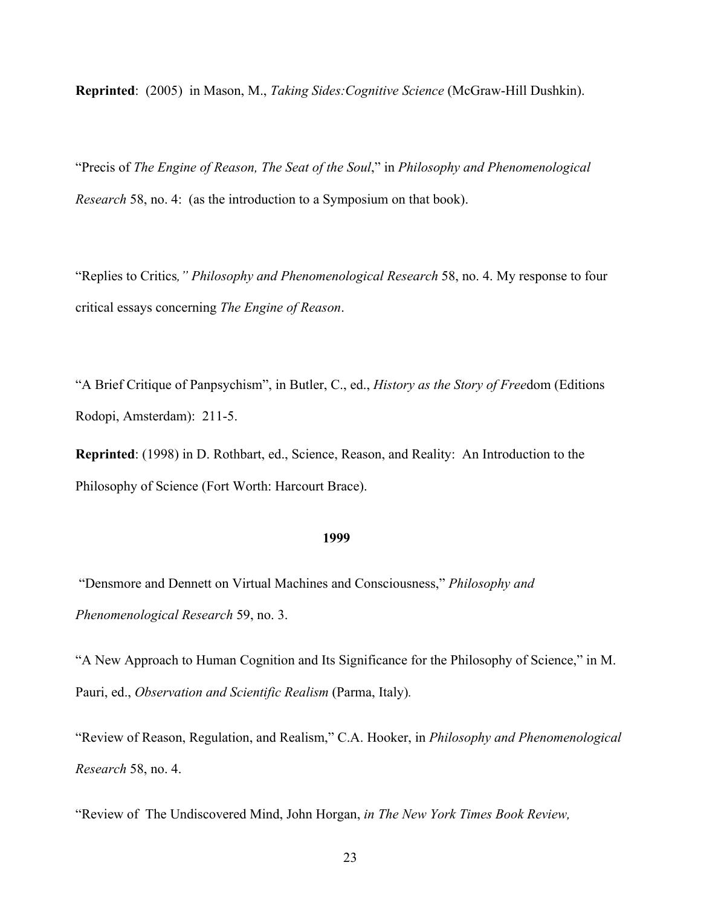Reprinted: (2005) in Mason, M., *Taking Sides:Cognitive Science* (McGraw-Hill Dushkin).

"Precis of *The Engine of Reason, The Seat of the Soul*," in *Philosophy and Phenomenological Research* 58, no. 4: (as the introduction to a Symposium on that book).

"Replies to Critics*," Philosophy and Phenomenological Research* 58, no. 4. My response to four critical essays concerning *The Engine of Reason*.

"A Brief Critique of Panpsychism", in Butler, C., ed., *History as the Story of Free*dom (Editions Rodopi, Amsterdam): 211-5.

Reprinted: (1998) in D. Rothbart, ed., Science, Reason, and Reality: An Introduction to the Philosophy of Science (Fort Worth: Harcourt Brace).

#### 1999

 "Densmore and Dennett on Virtual Machines and Consciousness," *Philosophy and Phenomenological Research* 59, no. 3.

"A New Approach to Human Cognition and Its Significance for the Philosophy of Science," in M. Pauri, ed., *Observation and Scientific Realism* (Parma, Italy)*.*

"Review of Reason, Regulation, and Realism," C.A. Hooker, in *Philosophy and Phenomenological Research* 58, no. 4.

"Review of The Undiscovered Mind, John Horgan, *in The New York Times Book Review,*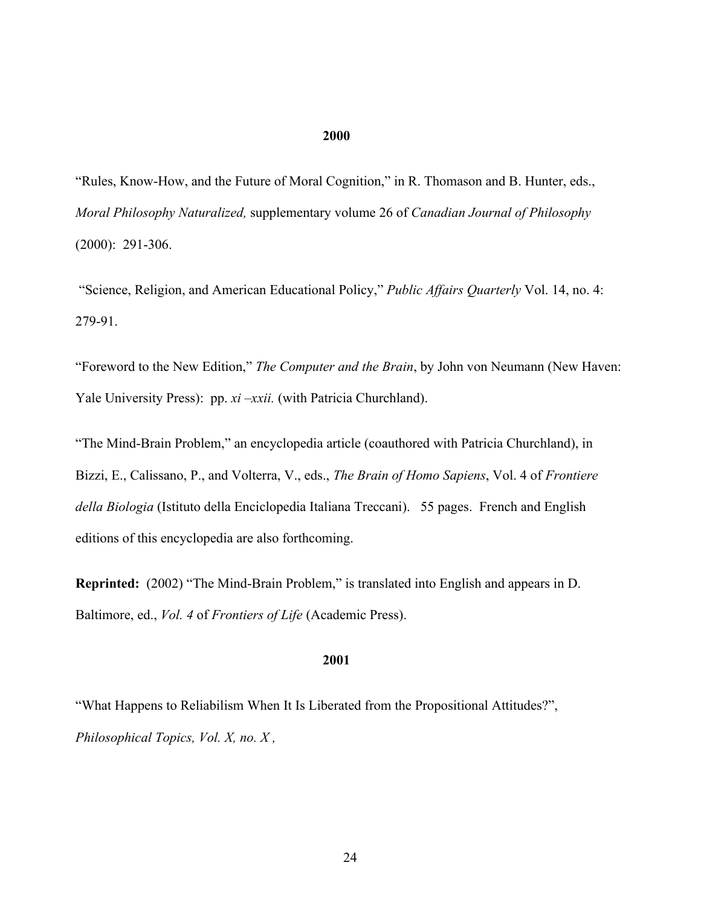#### 2000

"Rules, Know-How, and the Future of Moral Cognition," in R. Thomason and B. Hunter, eds., *Moral Philosophy Naturalized,* supplementary volume 26 of *Canadian Journal of Philosophy* (2000): 291-306.

 "Science, Religion, and American Educational Policy," *Public Affairs Quarterly* Vol. 14, no. 4: 279-91.

"Foreword to the New Edition," *The Computer and the Brain*, by John von Neumann (New Haven: Yale University Press): pp. *xi –xxii*. (with Patricia Churchland).

"The Mind-Brain Problem," an encyclopedia article (coauthored with Patricia Churchland), in Bizzi, E., Calissano, P., and Volterra, V., eds., *The Brain of Homo Sapiens*, Vol. 4 of *Frontiere della Biologia* (Istituto della Enciclopedia Italiana Treccani). 55 pages. French and English editions of this encyclopedia are also forthcoming.

Reprinted: (2002) "The Mind-Brain Problem," is translated into English and appears in D. Baltimore, ed., *Vol. 4* of *Frontiers of Life* (Academic Press).

## 2001

"What Happens to Reliabilism When It Is Liberated from the Propositional Attitudes?", *Philosophical Topics, Vol. X, no. X ,*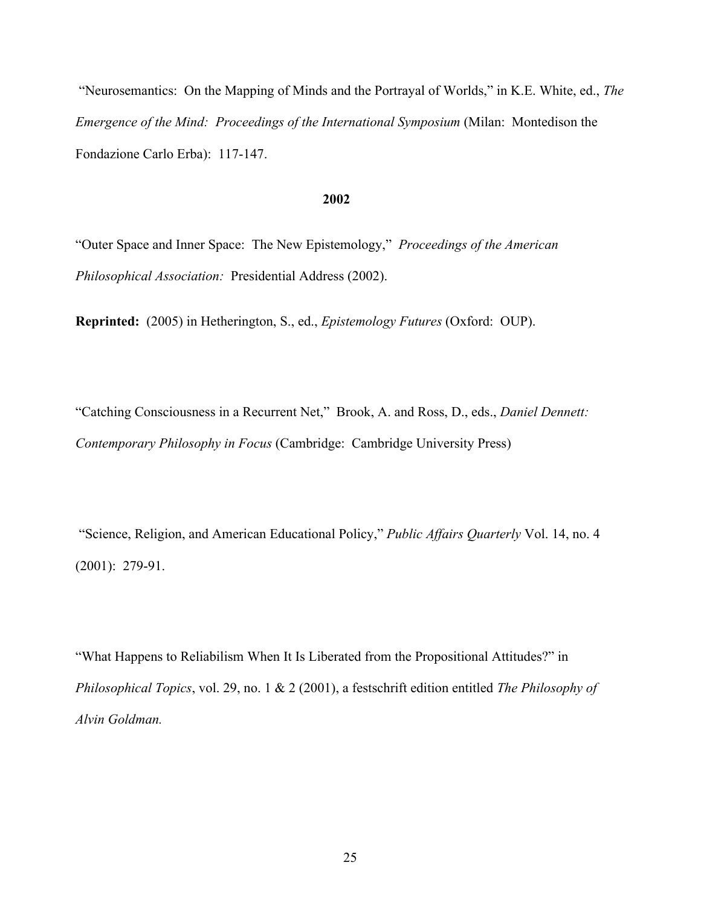"Neurosemantics: On the Mapping of Minds and the Portrayal of Worlds," in K.E. White, ed., *The Emergence of the Mind: Proceedings of the International Symposium* (Milan: Montedison the Fondazione Carlo Erba): 117-147.

#### 2002

"Outer Space and Inner Space: The New Epistemology," *Proceedings of the American Philosophical Association:* Presidential Address (2002).

Reprinted: (2005) in Hetherington, S., ed., *Epistemology Futures* (Oxford: OUP).

"Catching Consciousness in a Recurrent Net," Brook, A. and Ross, D., eds., *Daniel Dennett: Contemporary Philosophy in Focus* (Cambridge: Cambridge University Press)

 "Science, Religion, and American Educational Policy," *Public Affairs Quarterly* Vol. 14, no. 4 (2001): 279-91.

"What Happens to Reliabilism When It Is Liberated from the Propositional Attitudes?" in *Philosophical Topics*, vol. 29, no. 1 & 2 (2001), a festschrift edition entitled *The Philosophy of Alvin Goldman.*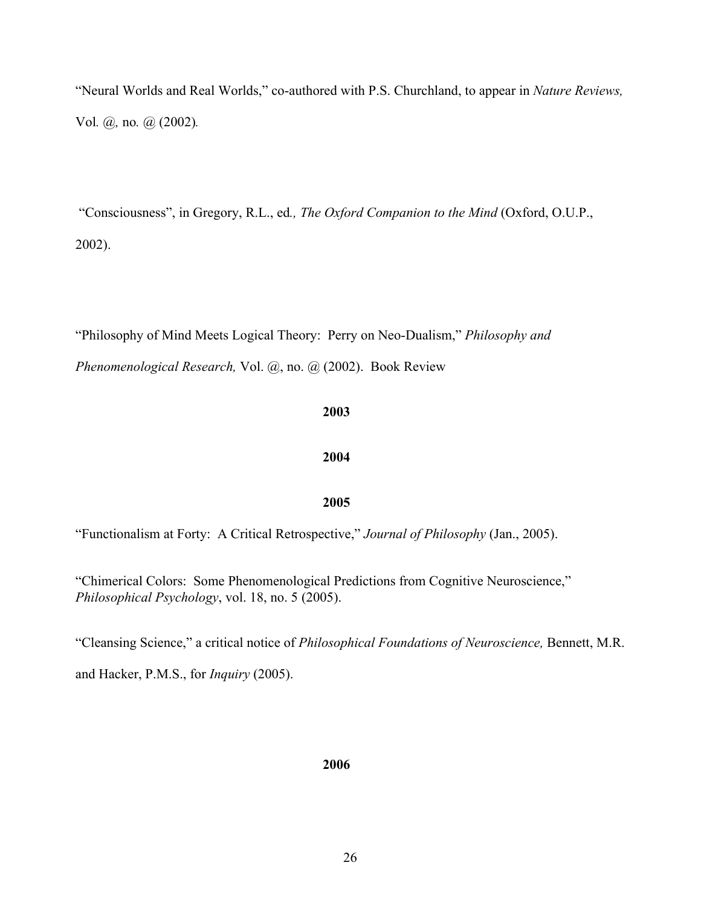"Neural Worlds and Real Worlds," co-authored with P.S. Churchland, to appear in *Nature Reviews,* Vol*. @,* no*. @* (2002)*.*

 "Consciousness", in Gregory, R.L., ed*., The Oxford Companion to the Mind* (Oxford, O.U.P., 2002).

"Philosophy of Mind Meets Logical Theory: Perry on Neo-Dualism," *Philosophy and*

*Phenomenological Research,* Vol. @, no. @ (2002). Book Review

# 2003

# 2004

# 2005

"Functionalism at Forty: A Critical Retrospective," *Journal of Philosophy* (Jan., 2005).

"Chimerical Colors: Some Phenomenological Predictions from Cognitive Neuroscience," *Philosophical Psychology*, vol. 18, no. 5 (2005).

"Cleansing Science," a critical notice of *Philosophical Foundations of Neuroscience,* Bennett, M.R.

and Hacker, P.M.S., for *Inquiry* (2005).

# **2006 2006**